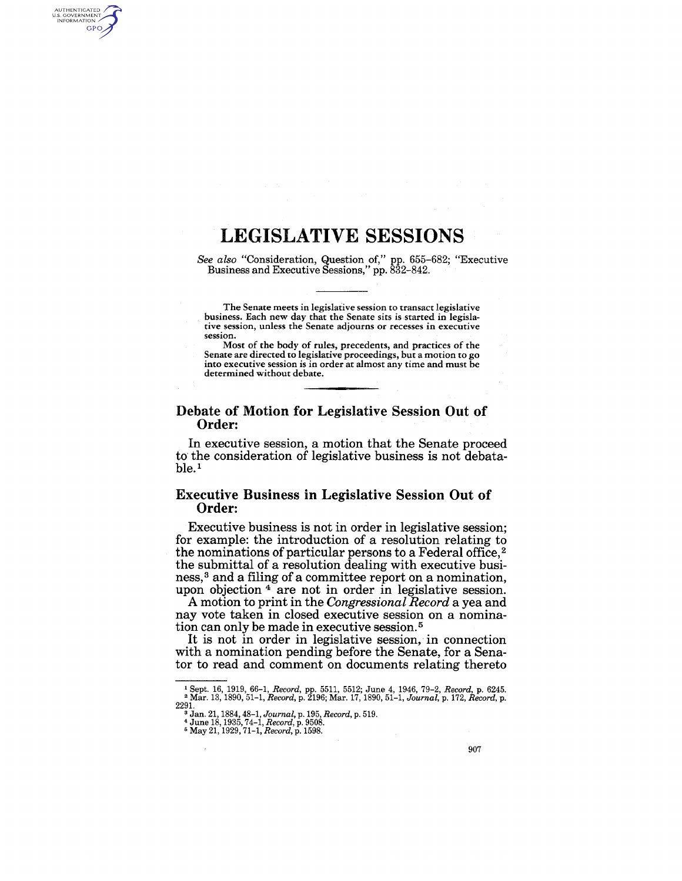## **LEGISLATIVE SESSIONS**

AUTHENTICATED<br>U.S. GOVERNMENT<br>INFORMATION **GPO** 

> *See also* "Consideration, Question of," pp. 655-682; "Executive Business and Executive Sessions," pp. 832-842.

The Senate meets in legislative session to transact legislative business. Each new day that the Senate sits is started in legislative session, unless the Senate adjourns or recesses in executive session.

Most of the body of rules, precedents, and practices of the Senate are directed to legislative proceedings, but a motion to go into executive session is in order at almost any time and must be determined without debate.

#### Debate of Motion for Legislative Session Out of Order:

In executive session, a motion that the Senate proceed to' the consideration of legislative business is not debata $ble<sup>1</sup>$ 

### Executive Business in Legislative Session Out of Order:

Executive business is not in order in legislative session; for example: the introduction of a resolution relating to the nominations of particular persons to a Federal office, 2 the submittal of a resolution dealing with executive business,<sup>3</sup> and a filing of a committee report on a nomination, upon objection<sup>4</sup> are not in order in legislative session.

A motion to print in the *Congressional Record* a yea and nay vote taken in closed executive session on a nomination can only be made in executive session. 5

It is not in order in legislative session, in connection with a nomination pending before the Senate, for a Senator to read and comment on documents relating thereto

<sup>1</sup> Sept. 16, 1919, 66-1, *Record,* pp. 5511, 5512; June 4, 1946, 79-2, *Record,* p. 6245. <sup>2</sup>Mar. 13, 1890,51-1, *Record,* p. 2196; Mar. 17, 1890,51-1, *Journal,* p. 172, *Record,* p.

<sup>2291. 3</sup> Jan. 21, 1884, 48-1, *Journal,* p.195, *Record,* p. 519. 4 June 18, 1935,74-1, *Record,* p. 9508. 5 May 21,1929,71-1, *Record,* p. 1598.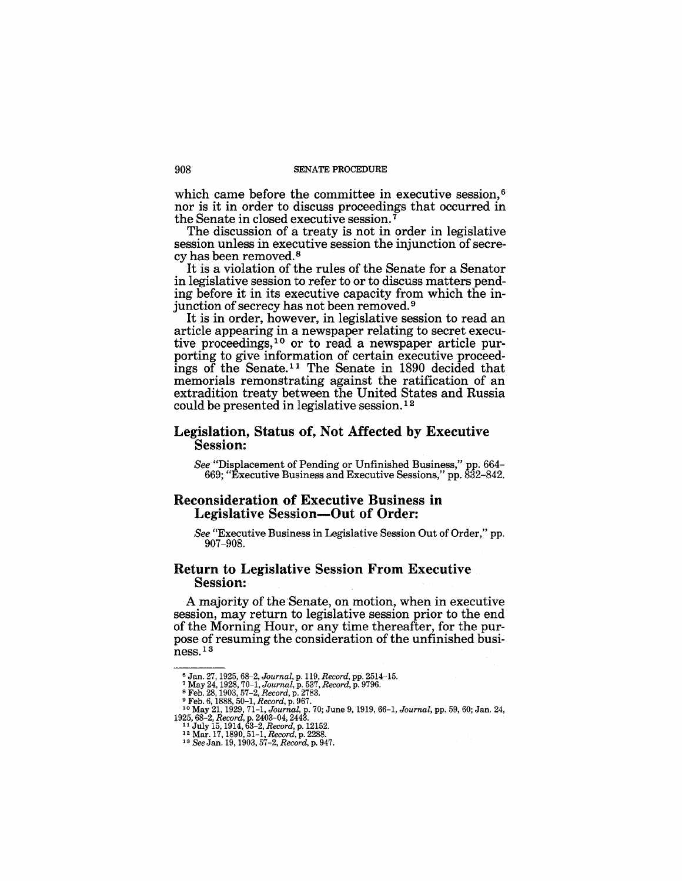#### 908 SENATE PROCEDURE

which came before the committee in executive session,<sup>6</sup> nor is it in order to discuss proceedings that occurred in the Senate in closed executive session.

The discussion of a treaty is not in order in legislative session unless in executive session the injunction of secrecy has been removed. 8

It is a violation of the rules of the Senate for a Senator in legislative session to refer to or to discuss matters pending before it in its executive capacity from which the injunction of secrecy has not been removed. 9

It is in order, however, in legislative session to read an article appearing in a newspaper relating to secret executive proceedings,  $10$  or to read a newspaper article purporting to give information of certain executive proceedings of the Senate. 11 The Senate in 1890 decided that memorials remonstrating against the ratification of an extradition treaty between the United States and Russia could be presented in legislative session. 12

#### Legislation, Status of, Not Affected by Executive Session:

*See* "Displacement of Pending or Unfinished Business," pp. 664- 669; "Executive Business and Executive Sessions," pp. 832-842.

### Reconsideration of Executive Business in Legislative Session-Out of Order:

*See* "Executive Business in Legislative Session Out of Order," pp. 907-908.

#### Return to Legislative Session From Executive Session:

A majority of the Senate, on motion, when in executive session, may return to legislative session prior to the end of the Morning Hour, or any time thereafter, for the purpose of resuming the consideration of the unfinished business. <sup>13</sup>

<sup>&</sup>lt;sup>6</sup> Jan. 27, 1925, 68–2, Journal, p. 119, *Record,* pp. 2514–15.<br><sup>7</sup> May 24, 1928, 70–1, Journal, p. 537, *Record,* p. 9796.<br><sup>8</sup> Feb. 28, 1903, 57–2, *Record*, p. 2783.<br><sup>9</sup> Feb. 6, 1888, 50–1, *Record*, p. 967.<br><sup>1</sup> May 21, 1925, 68-2, *Record,* p. 2403-04, 2443. 11 July 15, 1914,63-2, *Record,* p. 12152. 12 Mar. 17, 1890, 51-1, *Record,* p. 2288. 13 *See* Jan. 19, 1903, 57-2, *Record,* p. 947.